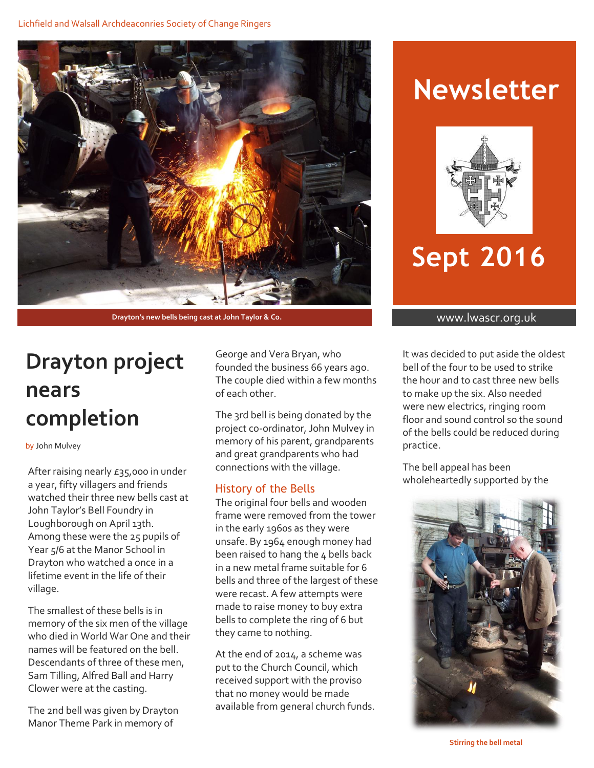

**Drayton's new bells being cast at John Taylor & Co.** www.lwascr.org.uk

## **Drayton project nears completion**

by John Mulvey

After raising nearly £35,000 in under a year, fifty villagers and friends watched their three new bells cast at John Taylor's Bell Foundry in Loughborough on April 13th. Among these were the 25 pupils of Year 5/6 at the Manor School in Drayton who watched a once in a lifetime event in the life of their village.

The smallest of these bells is in memory of the six men of the village who died in World War One and their names will be featured on the bell. Descendants of three of these men, Sam Tilling, Alfred Ball and Harry Clower were at the casting.

The 2nd bell was given by Drayton Manor Theme Park in memory of

George and Vera Bryan, who founded the business 66 years ago. The couple died within a few months of each other.

The 3rd bell is being donated by the project co-ordinator, John Mulvey in memory of his parent, grandparents and great grandparents who had connections with the village.

#### History of the Bells

The original four bells and wooden frame were removed from the tower in the early 1960s as they were unsafe. By 1964 enough money had been raised to hang the 4 bells back in a new metal frame suitable for 6 bells and three of the largest of these were recast. A few attempts were made to raise money to buy extra bells to complete the ring of 6 but they came to nothing.

At the end of 2014, a scheme was put to the Church Council, which received support with the proviso that no money would be made available from general church funds.

# **Newsletter**



# **Sept 2016**

It was decided to put aside the oldest bell of the four to be used to strike the hour and to cast three new bells to make up the six. Also needed were new electrics, ringing room floor and sound control so the sound of the bells could be reduced during practice.

The bell appeal has been wholeheartedly supported by the



**Stirring the bell metal**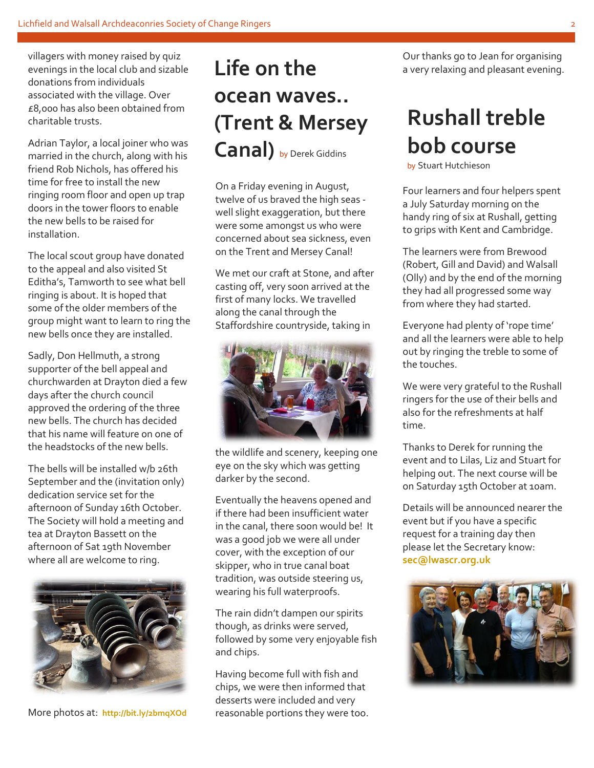villagers with money raised by quiz evenings in the local club and sizable donations from individuals associated with the village. Over £8,000 has also been obtained from charitable trusts.

Adrian Taylor, a local joiner who was married in the church, along with his friend Rob Nichols, has offered his time for free to install the new ringing room floor and open up trap doors in the tower floors to enable the new bells to be raised for installation.

The local scout group have donated to the appeal and also visited St Editha's, Tamworth to see what bell ringing is about. It is hoped that some of the older members of the group might want to learn to ring the new bells once they are installed.

Sadly, Don Hellmuth, a strong supporter of the bell appeal and churchwarden at Drayton died a few days after the church council approved the ordering of the three new bells. The church has decided that his name will feature on one of the headstocks of the new bells.

The bells will be installed w/b 26th September and the (invitation only) dedication service set for the afternoon of Sunday 16th October. The Society will hold a meeting and tea at Drayton Bassett on the afternoon of Sat 19th November where all are welcome to ring.



More photos at: **<http://bit.ly/2bmqXOd>**

## **Life on the ocean waves.. (Trent & Mersey**  Canal) by Derek Giddins

On a Friday evening in August, twelve of us braved the high seas well slight exaggeration, but there were some amongst us who were concerned about sea sickness, even on the Trent and Mersey Canal!

We met our craft at Stone, and after casting off, very soon arrived at the first of many locks. We travelled along the canal through the Staffordshire countryside, taking in



the wildlife and scenery, keeping one eye on the sky which was getting darker by the second.

Eventually the heavens opened and if there had been insufficient water in the canal, there soon would be! It was a good job we were all under cover, with the exception of our skipper, who in true canal boat tradition, was outside steering us, wearing his full waterproofs.

The rain didn't dampen our spirits though, as drinks were served, followed by some very enjoyable fish and chips.

Having become full with fish and chips, we were then informed that desserts were included and very reasonable portions they were too. Our thanks go to Jean for organising a very relaxing and pleasant evening.

## **Rushall treble bob course**

by Stuart Hutchieson

Four learners and four helpers spent a July Saturday morning on the handy ring of six at Rushall, getting to grips with Kent and Cambridge.

The learners were from Brewood (Robert, Gill and David) and Walsall (Olly) and by the end of the morning they had all progressed some way from where they had started.

Everyone had plenty of 'rope time' and all the learners were able to help out by ringing the treble to some of the touches.

We were very grateful to the Rushall ringers for the use of their bells and also for the refreshments at half time.

Thanks to Derek for running the event and to Lilas, Liz and Stuart for helping out. The next course will be on Saturday 15th October at 10am.

Details will be announced nearer the event but if you have a specific request for a training day then please let the Secretary know: **[sec@lwascr.org.uk](mailto:sec@lwascr.org.uk)**

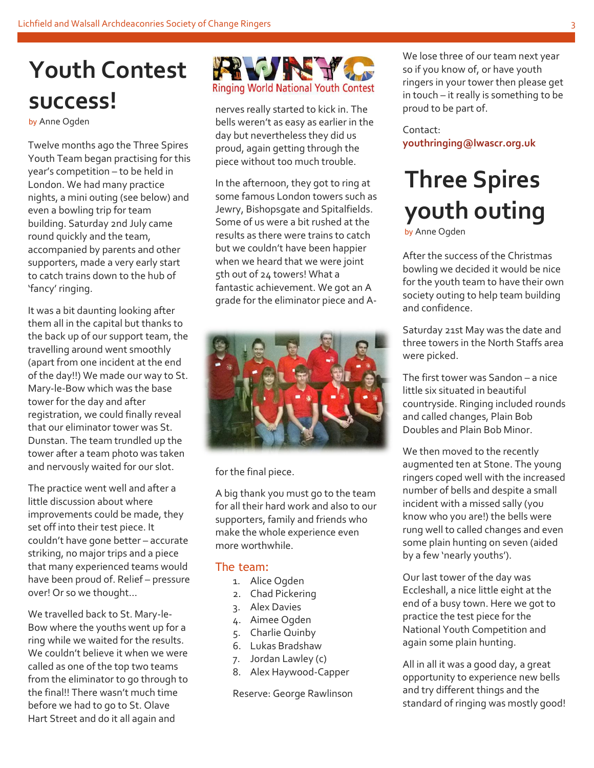## **Youth Contest success!**

by Anne Ogden

Twelve months ago the Three Spires Youth Team began practising for this year's competition – to be held in London. We had many practice nights, a mini outing (see below) and even a bowling trip for team building. Saturday 2nd July came round quickly and the team, accompanied by parents and other supporters, made a very early start to catch trains down to the hub of 'fancy' ringing.

It was a bit daunting looking after them all in the capital but thanks to the back up of our support team, the travelling around went smoothly (apart from one incident at the end of the day!!) We made our way to St. Mary-le-Bow which was the base tower for the day and after registration, we could finally reveal that our eliminator tower was St. Dunstan. The team trundled up the tower after a team photo was taken and nervously waited for our slot.

The practice went well and after a little discussion about where improvements could be made, they set off into their test piece. It couldn't have gone better – accurate striking, no major trips and a piece that many experienced teams would have been proud of. Relief – pressure over! Or so we thought…

We travelled back to St. Mary-le-Bow where the youths went up for a ring while we waited for the results. We couldn't believe it when we were called as one of the top two teams from the eliminator to go through to the final!! There wasn't much time before we had to go to St. Olave Hart Street and do it all again and



nerves really started to kick in. The bells weren't as easy as earlier in the day but nevertheless they did us proud, again getting through the piece without too much trouble.

In the afternoon, they got to ring at some famous London towers such as Jewry, Bishopsgate and Spitalfields. Some of us were a bit rushed at the results as there were trains to catch but we couldn't have been happier when we heard that we were joint 5th out of 24 towers! What a fantastic achievement. We got an A grade for the eliminator piece and A-



for the final piece.

A big thank you must go to the team for all their hard work and also to our supporters, family and friends who make the whole experience even more worthwhile.

#### The team:

- 1. Alice Ogden
- 2. Chad Pickering
- 3. Alex Davies
- 4. Aimee Ogden
- 5. Charlie Quinby
- 6. Lukas Bradshaw
- 7. Jordan Lawley (c)
- 8. Alex Haywood-Capper

Reserve: George Rawlinson

We lose three of our team next year so if you know of, or have youth ringers in your tower then please get in touch – it really is something to be proud to be part of.

Contact: **youthringing@lwascr.org.uk**

# **Three Spires youth outing**

by Anne Ogden

After the success of the Christmas bowling we decided it would be nice for the youth team to have their own society outing to help team building and confidence.

Saturday 21st May was the date and three towers in the North Staffs area were picked.

The first tower was Sandon – a nice little six situated in beautiful countryside. Ringing included rounds and called changes, Plain Bob Doubles and Plain Bob Minor.

We then moved to the recently augmented ten at Stone. The young ringers coped well with the increased number of bells and despite a small incident with a missed sally (you know who you are!) the bells were rung well to called changes and even some plain hunting on seven (aided by a few 'nearly youths').

Our last tower of the day was Eccleshall, a nice little eight at the end of a busy town. Here we got to practice the test piece for the National Youth Competition and again some plain hunting.

All in all it was a good day, a great opportunity to experience new bells and try different things and the standard of ringing was mostly good!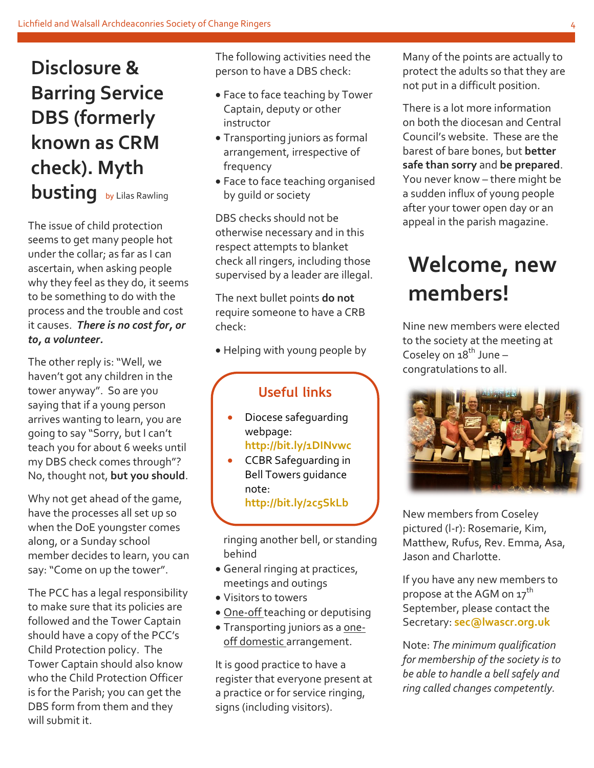## **Disclosure & Barring Service DBS (formerly known as CRM check). Myth busting** by Lilas Rawling

The issue of child protection seems to get many people hot under the collar; as far as I can ascertain, when asking people why they feel as they do, it seems to be something to do with the process and the trouble and cost it causes. *There is no cost for, or to, a volunteer.*

The other reply is: "Well, we haven't got any children in the tower anyway". So are you saying that if a young person arrives wanting to learn, you are going to say "Sorry, but I can't teach you for about 6 weeks until my DBS check comes through"? No, thought not, **but you should**.

Why not get ahead of the game, have the processes all set up so when the DoE youngster comes along, or a Sunday school member decides to learn, you can say: "Come on up the tower".

The PCC has a legal responsibility to make sure that its policies are followed and the Tower Captain should have a copy of the PCC's Child Protection policy. The Tower Captain should also know who the Child Protection Officer is for the Parish; you can get the DBS form from them and they will submit it.

The following activities need the person to have a DBS check:

- Face to face teaching by Tower Captain, deputy or other instructor
- Transporting juniors as formal arrangement, irrespective of frequency
- Face to face teaching organised by guild or society

DBS checks should not be otherwise necessary and in this respect attempts to blanket check all ringers, including those supervised by a leader are illegal.

The next bullet points **do not** require someone to have a CRB check:

Helping with young people by

#### **Useful links**

- Diocese safeguarding webpage: **<http://bit.ly/1DINvwc>**
- CCBR Safeguarding in Bell Towers guidance note: **<http://bit.ly/2c5SkLb>**

ringing another bell, or standing behind

- General ringing at practices, meetings and outings
- Visitors to towers
- One-off teaching or deputising
- Transporting juniors as a oneoff domestic arrangement.

It is good practice to have a register that everyone present at a practice or for service ringing, signs (including visitors).

Many of the points are actually to protect the adults so that they are not put in a difficult position.

There is a lot more information on both the diocesan and Central Council's website. These are the barest of bare bones, but **better safe than sorry** and **be prepared**. You never know – there might be a sudden influx of young people after your tower open day or an appeal in the parish magazine.

## **Welcome, new members!**

Nine new members were elected to the society at the meeting at Coseley on  $18^{th}$  June – congratulations to all.



New members from Coseley pictured (l-r): Rosemarie, Kim, Matthew, Rufus, Rev. Emma, Asa, Jason and Charlotte.

If you have any new members to propose at the AGM on 17<sup>th</sup> September, please contact the Secretary: **[sec@lwascr.org.uk](mailto:sec@lwascr.org.uk)**

Note: *The minimum qualification for membership of the society is to be able to handle a bell safely and ring called changes competently.*